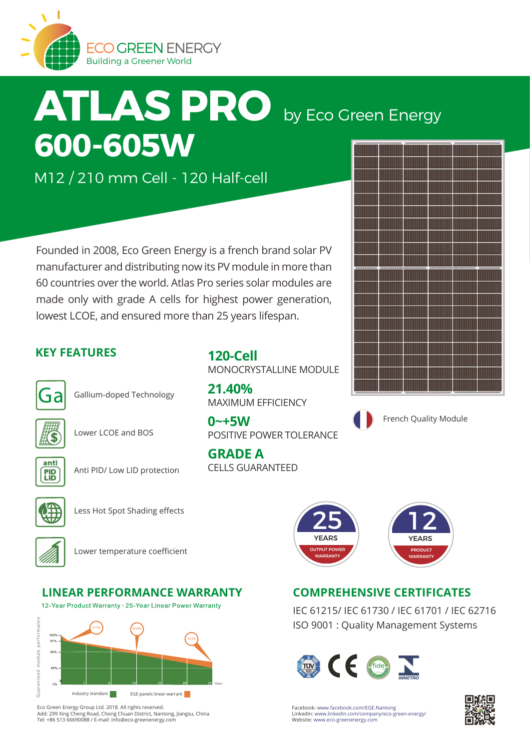

# **ATLAS PRO** by Eco Green Energy **600-605W**

M12 / 210 mm Cell - 120 Half-cell

Founded in 2008, Eco Green Energy is a french brand solar PV manufacturer and distributing now its PV module in more than 60 countries over the world. Atlas Pro series solar modules are made only with grade A cells for highest power generation, lowest LCOE, and ensured more than 25 years lifespan.

## **KEY FEATURES**



Gallium-doped Technology





Lower LCOE and BOS



Anti PID/ Low LID protection



Less Hot Spot Shading effects



Lower temperature coefficient

## **LINEAR PERFORMANCE WARRANTY COMPREHENSIVE CERTIFICATES**

12-Year Product Warranty · 25-Year Linear Power Warranty



Eco Green Energy Group Ltd. 2018. All rights reserved. Add: 299 Xing Cheng Road, Chong Chuan District, Nantong, Jiangsu, China Tel: +86 513 66690088 / E-mail: info@eco-greenenergy.com

**120-Cell** MONOCRYSTALLINE MODULE

**21.40%** MAXIMUM EFFICIENCY

**0~+5W** POSITIVE POWER TOLERANCE

**GRADE A** CELLS GUARANTEED



French Quality Module



IEC 61215/ IEC 61730 / IEC 61701 / IEC 62716 ISO 9001 : Quality Management Systems





Facebook: www.facebook.com/EGE.Nantong LinkedIn: www.linkedin.com/company/eco-green-energy/ Website: www.eco-greenenergy.com